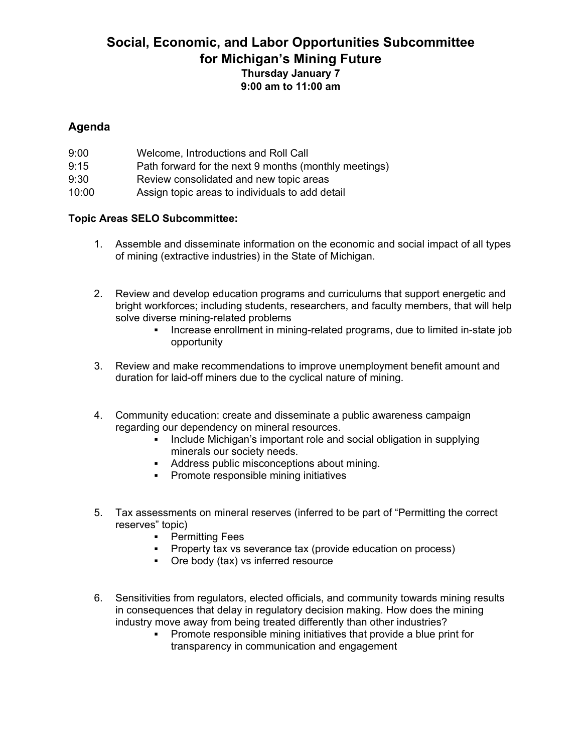## **Social, Economic, and Labor Opportunities Subcommittee for Michigan's Mining Future Thursday January 7 9:00 am to 11:00 am**

## **Agenda**

| 9:00  | Welcome, Introductions and Roll Call                  |
|-------|-------------------------------------------------------|
| 9:15  | Path forward for the next 9 months (monthly meetings) |
| 9:30  | Review consolidated and new topic areas               |
| 10:00 | Assign topic areas to individuals to add detail       |

## **Topic Areas SELO Subcommittee:**

- 1. Assemble and disseminate information on the economic and social impact of all types of mining (extractive industries) in the State of Michigan.
- 2. Review and develop education programs and curriculums that support energetic and bright workforces; including students, researchers, and faculty members, that will help solve diverse mining-related problems
	- Increase enrollment in mining-related programs, due to limited in-state job opportunity
- 3. Review and make recommendations to improve unemployment benefit amount and duration for laid-off miners due to the cyclical nature of mining.
- 4. Community education: create and disseminate a public awareness campaign regarding our dependency on mineral resources.
	- Include Michigan's important role and social obligation in supplying minerals our society needs.
	- Address public misconceptions about mining.
	- **•** Promote responsible mining initiatives
- 5. Tax assessments on mineral reserves (inferred to be part of "Permitting the correct reserves" topic)
	- **•** Permitting Fees
	- **Property tax vs severance tax (provide education on process)**
	- Ore body (tax) vs inferred resource
- 6. Sensitivities from regulators, elected officials, and community towards mining results in consequences that delay in regulatory decision making. How does the mining industry move away from being treated differently than other industries?
	- **Promote responsible mining initiatives that provide a blue print for** transparency in communication and engagement